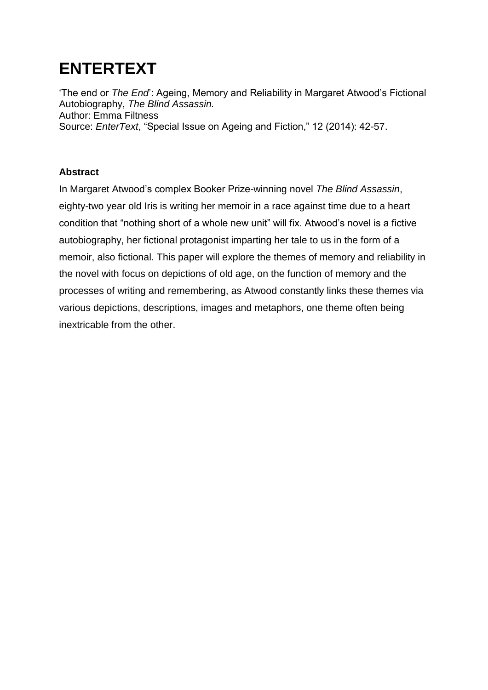# **ENTERTEXT**

'The end or *The End*': Ageing, Memory and Reliability in Margaret Atwood's Fictional Autobiography, *The Blind Assassin.* Author: Emma Filtness Source: *EnterText*, "Special Issue on Ageing and Fiction," 12 (2014): 42-57.

### **Abstract**

In Margaret Atwood's complex Booker Prize-winning novel *The Blind Assassin*, eighty-two year old Iris is writing her memoir in a race against time due to a heart condition that "nothing short of a whole new unit" will fix. Atwood's novel is a fictive autobiography, her fictional protagonist imparting her tale to us in the form of a memoir, also fictional. This paper will explore the themes of memory and reliability in the novel with focus on depictions of old age, on the function of memory and the processes of writing and remembering, as Atwood constantly links these themes via various depictions, descriptions, images and metaphors, one theme often being inextricable from the other.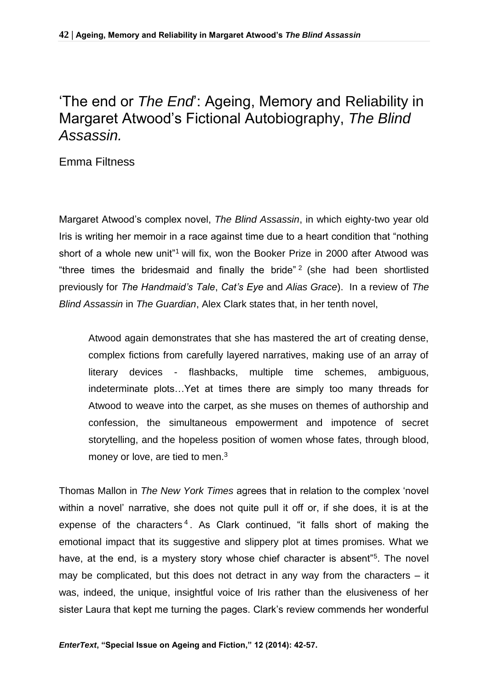## 'The end or *The End*': Ageing, Memory and Reliability in Margaret Atwood's Fictional Autobiography, *The Blind Assassin.*

Emma Filtness

Margaret Atwood's complex novel, *The Blind Assassin*, in which eighty-two year old Iris is writing her memoir in a race against time due to a heart condition that "nothing short of a whole new unit<sup>"1</sup> will fix, won the Booker Prize in 2000 after Atwood was "three times the bridesmaid and finally the bride"<sup>2</sup> (she had been shortlisted previously for *The Handmaid's Tale*, *Cat's Eye* and *Alias Grace*). In a review of *The Blind Assassin* in *The Guardian*, Alex Clark states that, in her tenth novel,

Atwood again demonstrates that she has mastered the art of creating dense, complex fictions from carefully layered narratives, making use of an array of literary devices - flashbacks, multiple time schemes, ambiguous, indeterminate plots…Yet at times there are simply too many threads for Atwood to weave into the carpet, as she muses on themes of authorship and confession, the simultaneous empowerment and impotence of secret storytelling, and the hopeless position of women whose fates, through blood, money or love, are tied to men.<sup>3</sup>

Thomas Mallon in *The New York Times* agrees that in relation to the complex 'novel within a novel' narrative, she does not quite pull it off or, if she does, it is at the expense of the characters<sup>4</sup>. As Clark continued, "it falls short of making the emotional impact that its suggestive and slippery plot at times promises. What we have, at the end, is a mystery story whose chief character is absent"<sup>5</sup>. The novel may be complicated, but this does not detract in any way from the characters – it was, indeed, the unique, insightful voice of Iris rather than the elusiveness of her sister Laura that kept me turning the pages. Clark's review commends her wonderful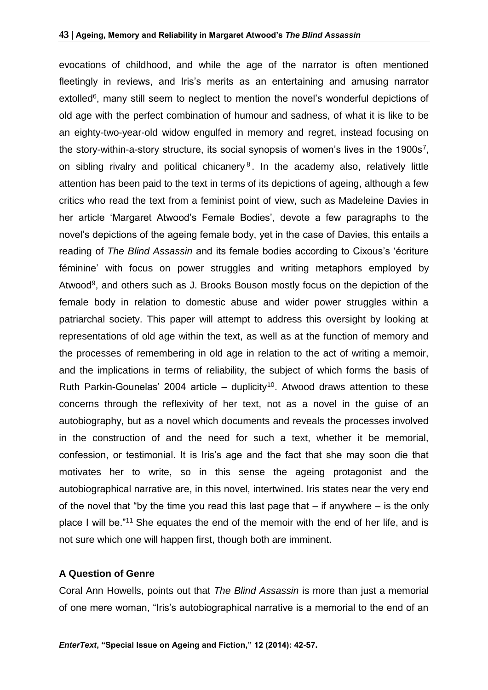evocations of childhood, and while the age of the narrator is often mentioned fleetingly in reviews, and Iris's merits as an entertaining and amusing narrator extolled<sup>6</sup>, many still seem to neglect to mention the novel's wonderful depictions of old age with the perfect combination of humour and sadness, of what it is like to be an eighty-two-year-old widow engulfed in memory and regret, instead focusing on the story-within-a-story structure, its social synopsis of women's lives in the 1900s<sup>7</sup>, on sibling rivalry and political chicanery<sup>8</sup>. In the academy also, relatively little attention has been paid to the text in terms of its depictions of ageing, although a few critics who read the text from a feminist point of view, such as Madeleine Davies in her article 'Margaret Atwood's Female Bodies', devote a few paragraphs to the novel's depictions of the ageing female body, yet in the case of Davies, this entails a reading of *The Blind Assassin* and its female bodies according to Cixous's 'écriture féminine' with focus on power struggles and writing metaphors employed by Atwood<sup>9</sup>, and others such as J. Brooks Bouson mostly focus on the depiction of the female body in relation to domestic abuse and wider power struggles within a patriarchal society. This paper will attempt to address this oversight by looking at representations of old age within the text, as well as at the function of memory and the processes of remembering in old age in relation to the act of writing a memoir, and the implications in terms of reliability, the subject of which forms the basis of Ruth Parkin-Gounelas' 2004 article – duplicity<sup>10</sup>. Atwood draws attention to these concerns through the reflexivity of her text, not as a novel in the guise of an autobiography, but as a novel which documents and reveals the processes involved in the construction of and the need for such a text, whether it be memorial, confession, or testimonial. It is Iris's age and the fact that she may soon die that motivates her to write, so in this sense the ageing protagonist and the autobiographical narrative are, in this novel, intertwined. Iris states near the very end of the novel that "by the time you read this last page that  $-$  if anywhere  $-$  is the only place I will be."<sup>11</sup> She equates the end of the memoir with the end of her life, and is not sure which one will happen first, though both are imminent.

#### **A Question of Genre**

Coral Ann Howells, points out that *The Blind Assassin* is more than just a memorial of one mere woman, "Iris's autobiographical narrative is a memorial to the end of an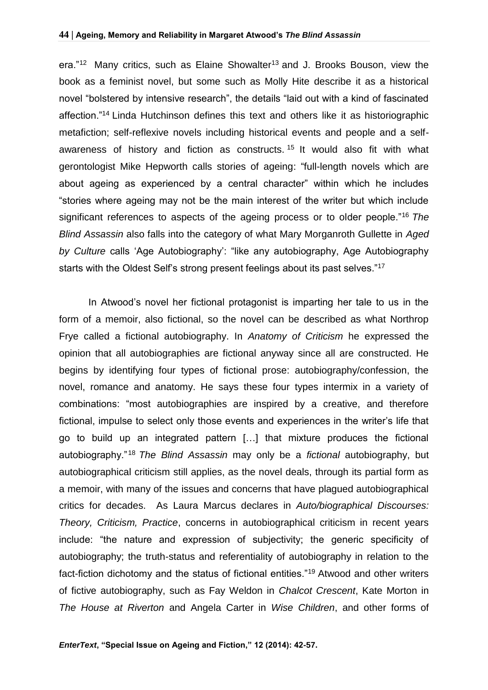era."<sup>12</sup> Many critics, such as Elaine Showalter<sup>13</sup> and J. Brooks Bouson, view the book as a feminist novel, but some such as Molly Hite describe it as a historical novel "bolstered by intensive research", the details "laid out with a kind of fascinated affection."<sup>14</sup> Linda Hutchinson defines this text and others like it as historiographic metafiction; self-reflexive novels including historical events and people and a selfawareness of history and fiction as constructs.<sup>15</sup> It would also fit with what gerontologist Mike Hepworth calls stories of ageing: "full-length novels which are about ageing as experienced by a central character" within which he includes "stories where ageing may not be the main interest of the writer but which include significant references to aspects of the ageing process or to older people."<sup>16</sup> *The Blind Assassin* also falls into the category of what Mary Morganroth Gullette in *Aged by Culture* calls 'Age Autobiography': "like any autobiography, Age Autobiography starts with the Oldest Self's strong present feelings about its past selves."<sup>17</sup>

In Atwood's novel her fictional protagonist is imparting her tale to us in the form of a memoir, also fictional, so the novel can be described as what Northrop Frye called a fictional autobiography. In *Anatomy of Criticism* he expressed the opinion that all autobiographies are fictional anyway since all are constructed. He begins by identifying four types of fictional prose: autobiography/confession, the novel, romance and anatomy. He says these four types intermix in a variety of combinations: "most autobiographies are inspired by a creative, and therefore fictional, impulse to select only those events and experiences in the writer's life that go to build up an integrated pattern […] that mixture produces the fictional autobiography."<sup>18</sup> *The Blind Assassin* may only be a *fictional* autobiography, but autobiographical criticism still applies, as the novel deals, through its partial form as a memoir, with many of the issues and concerns that have plagued autobiographical critics for decades. As Laura Marcus declares in *Auto/biographical Discourses: Theory, Criticism, Practice*, concerns in autobiographical criticism in recent years include: "the nature and expression of subjectivity; the generic specificity of autobiography; the truth-status and referentiality of autobiography in relation to the fact-fiction dichotomy and the status of fictional entities."<sup>19</sup> Atwood and other writers of fictive autobiography, such as Fay Weldon in *Chalcot Crescent*, Kate Morton in *The House at Riverton* and Angela Carter in *Wise Children*, and other forms of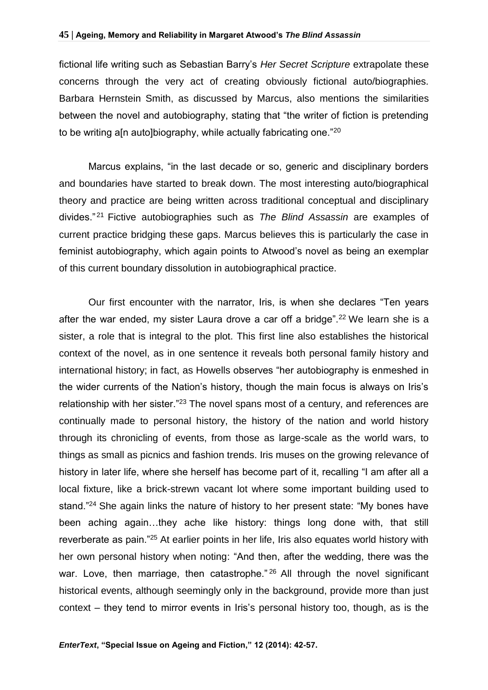fictional life writing such as Sebastian Barry's *Her Secret Scripture* extrapolate these concerns through the very act of creating obviously fictional auto/biographies. Barbara Hernstein Smith, as discussed by Marcus, also mentions the similarities between the novel and autobiography, stating that "the writer of fiction is pretending to be writing all autolbiography, while actually fabricating one."<sup>20</sup>

Marcus explains, "in the last decade or so, generic and disciplinary borders and boundaries have started to break down. The most interesting auto/biographical theory and practice are being written across traditional conceptual and disciplinary divides." <sup>21</sup> Fictive autobiographies such as *The Blind Assassin* are examples of current practice bridging these gaps. Marcus believes this is particularly the case in feminist autobiography, which again points to Atwood's novel as being an exemplar of this current boundary dissolution in autobiographical practice.

Our first encounter with the narrator, Iris, is when she declares "Ten years after the war ended, my sister Laura drove a car off a bridge".<sup>22</sup> We learn she is a sister, a role that is integral to the plot. This first line also establishes the historical context of the novel, as in one sentence it reveals both personal family history and international history; in fact, as Howells observes "her autobiography is enmeshed in the wider currents of the Nation's history, though the main focus is always on Iris's relationship with her sister."<sup>23</sup> The novel spans most of a century, and references are continually made to personal history, the history of the nation and world history through its chronicling of events, from those as large-scale as the world wars, to things as small as picnics and fashion trends. Iris muses on the growing relevance of history in later life, where she herself has become part of it, recalling "I am after all a local fixture, like a brick-strewn vacant lot where some important building used to stand."<sup>24</sup> She again links the nature of history to her present state: "My bones have been aching again…they ache like history: things long done with, that still reverberate as pain."<sup>25</sup> At earlier points in her life, Iris also equates world history with her own personal history when noting: "And then, after the wedding, there was the war. Love, then marriage, then catastrophe."<sup>26</sup> All through the novel significant historical events, although seemingly only in the background, provide more than just context – they tend to mirror events in Iris's personal history too, though, as is the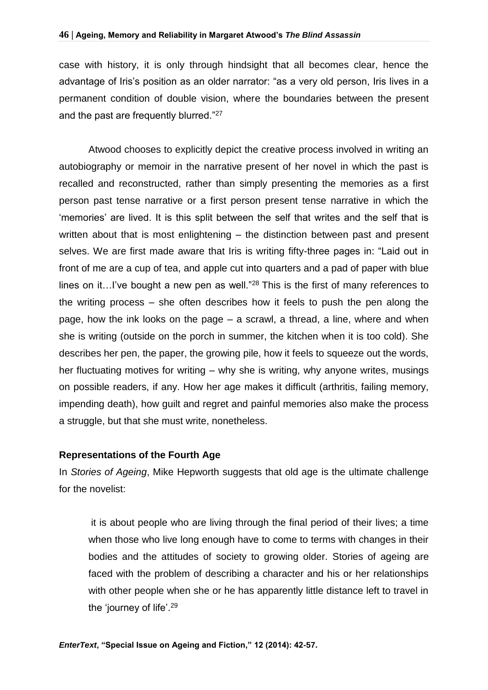case with history, it is only through hindsight that all becomes clear, hence the advantage of Iris's position as an older narrator: "as a very old person, Iris lives in a permanent condition of double vision, where the boundaries between the present and the past are frequently blurred."27

Atwood chooses to explicitly depict the creative process involved in writing an autobiography or memoir in the narrative present of her novel in which the past is recalled and reconstructed, rather than simply presenting the memories as a first person past tense narrative or a first person present tense narrative in which the 'memories' are lived. It is this split between the self that writes and the self that is written about that is most enlightening – the distinction between past and present selves. We are first made aware that Iris is writing fifty-three pages in: "Laid out in front of me are a cup of tea, and apple cut into quarters and a pad of paper with blue lines on it...I've bought a new pen as well."<sup>28</sup> This is the first of many references to the writing process – she often describes how it feels to push the pen along the page, how the ink looks on the page – a scrawl, a thread, a line, where and when she is writing (outside on the porch in summer, the kitchen when it is too cold). She describes her pen, the paper, the growing pile, how it feels to squeeze out the words, her fluctuating motives for writing – why she is writing, why anyone writes, musings on possible readers, if any. How her age makes it difficult (arthritis, failing memory, impending death), how guilt and regret and painful memories also make the process a struggle, but that she must write, nonetheless.

#### **Representations of the Fourth Age**

In *Stories of Ageing*, Mike Hepworth suggests that old age is the ultimate challenge for the novelist:

it is about people who are living through the final period of their lives; a time when those who live long enough have to come to terms with changes in their bodies and the attitudes of society to growing older. Stories of ageing are faced with the problem of describing a character and his or her relationships with other people when she or he has apparently little distance left to travel in the 'journey of life'.29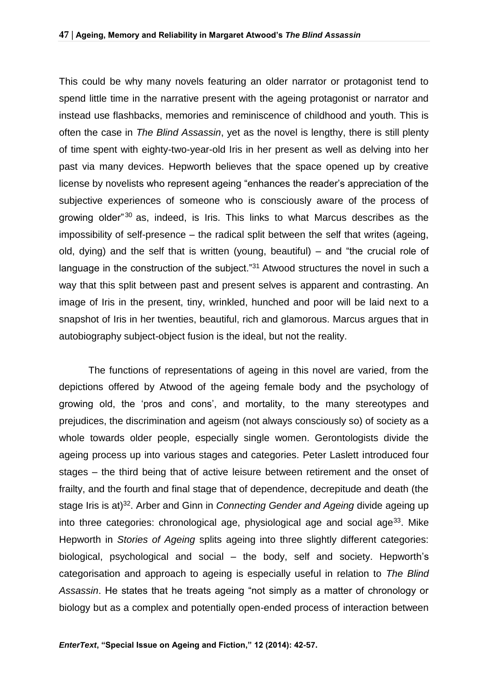This could be why many novels featuring an older narrator or protagonist tend to spend little time in the narrative present with the ageing protagonist or narrator and instead use flashbacks, memories and reminiscence of childhood and youth. This is often the case in *The Blind Assassin*, yet as the novel is lengthy, there is still plenty of time spent with eighty-two-year-old Iris in her present as well as delving into her past via many devices. Hepworth believes that the space opened up by creative license by novelists who represent ageing "enhances the reader's appreciation of the subjective experiences of someone who is consciously aware of the process of growing older<sup>"30</sup> as, indeed, is Iris. This links to what Marcus describes as the impossibility of self-presence – the radical split between the self that writes (ageing, old, dying) and the self that is written (young, beautiful) – and "the crucial role of language in the construction of the subject."<sup>31</sup> Atwood structures the novel in such a way that this split between past and present selves is apparent and contrasting. An image of Iris in the present, tiny, wrinkled, hunched and poor will be laid next to a snapshot of Iris in her twenties, beautiful, rich and glamorous. Marcus argues that in autobiography subject-object fusion is the ideal, but not the reality.

The functions of representations of ageing in this novel are varied, from the depictions offered by Atwood of the ageing female body and the psychology of growing old, the 'pros and cons', and mortality, to the many stereotypes and prejudices, the discrimination and ageism (not always consciously so) of society as a whole towards older people, especially single women. Gerontologists divide the ageing process up into various stages and categories. Peter Laslett introduced four stages – the third being that of active leisure between retirement and the onset of frailty, and the fourth and final stage that of dependence, decrepitude and death (the stage Iris is at)<sup>32</sup>. Arber and Ginn in *Connecting Gender and Ageing* divide ageing up into three categories: chronological age, physiological age and social age<sup>33</sup>. Mike Hepworth in *Stories of Ageing* splits ageing into three slightly different categories: biological, psychological and social – the body, self and society. Hepworth's categorisation and approach to ageing is especially useful in relation to *The Blind Assassin*. He states that he treats ageing "not simply as a matter of chronology or biology but as a complex and potentially open-ended process of interaction between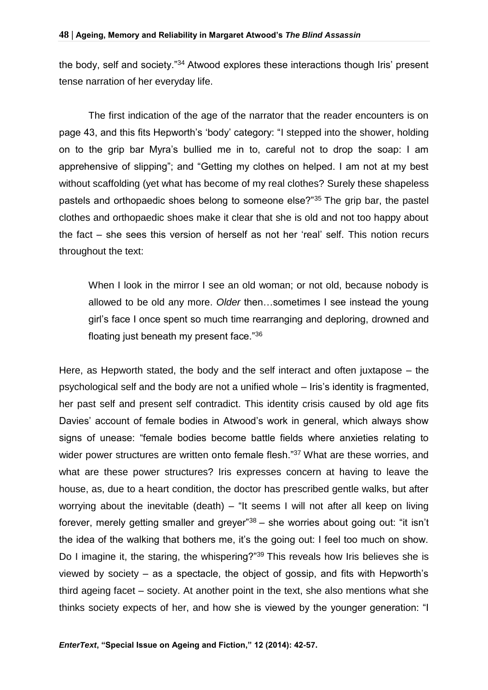the body, self and society."<sup>34</sup> Atwood explores these interactions though Iris' present tense narration of her everyday life.

The first indication of the age of the narrator that the reader encounters is on page 43, and this fits Hepworth's 'body' category: "I stepped into the shower, holding on to the grip bar Myra's bullied me in to, careful not to drop the soap: I am apprehensive of slipping"; and "Getting my clothes on helped. I am not at my best without scaffolding (yet what has become of my real clothes? Surely these shapeless pastels and orthopaedic shoes belong to someone else?"<sup>35</sup> The grip bar, the pastel clothes and orthopaedic shoes make it clear that she is old and not too happy about the fact – she sees this version of herself as not her 'real' self. This notion recurs throughout the text:

When I look in the mirror I see an old woman; or not old, because nobody is allowed to be old any more. *Older* then…sometimes I see instead the young girl's face I once spent so much time rearranging and deploring, drowned and floating just beneath my present face."<sup>36</sup>

Here, as Hepworth stated, the body and the self interact and often juxtapose – the psychological self and the body are not a unified whole – Iris's identity is fragmented, her past self and present self contradict. This identity crisis caused by old age fits Davies' account of female bodies in Atwood's work in general, which always show signs of unease: "female bodies become battle fields where anxieties relating to wider power structures are written onto female flesh."<sup>37</sup> What are these worries, and what are these power structures? Iris expresses concern at having to leave the house, as, due to a heart condition, the doctor has prescribed gentle walks, but after worrying about the inevitable (death) – "It seems I will not after all keep on living forever, merely getting smaller and greyer<sup>38</sup> – she worries about going out: "it isn't the idea of the walking that bothers me, it's the going out: I feel too much on show. Do I imagine it, the staring, the whispering?"<sup>39</sup> This reveals how Iris believes she is viewed by society – as a spectacle, the object of gossip, and fits with Hepworth's third ageing facet – society. At another point in the text, she also mentions what she thinks society expects of her, and how she is viewed by the younger generation: "I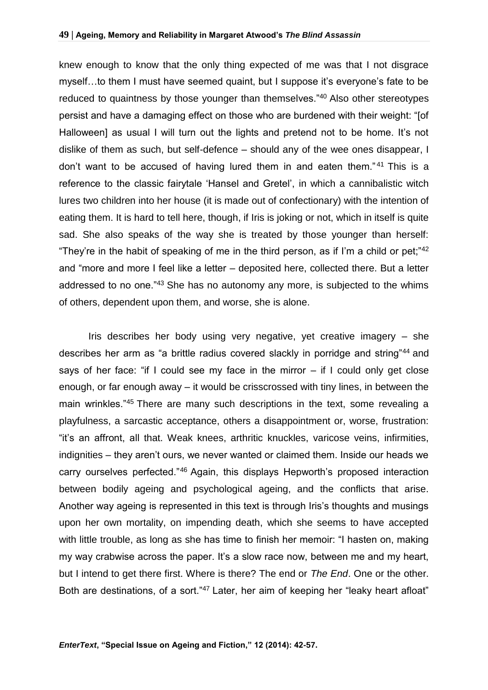knew enough to know that the only thing expected of me was that I not disgrace myself…to them I must have seemed quaint, but I suppose it's everyone's fate to be reduced to quaintness by those younger than themselves."<sup>40</sup> Also other stereotypes persist and have a damaging effect on those who are burdened with their weight: "[of Halloween] as usual I will turn out the lights and pretend not to be home. It's not dislike of them as such, but self-defence – should any of the wee ones disappear, I don't want to be accused of having lured them in and eaten them." <sup>41</sup> This is a reference to the classic fairytale 'Hansel and Gretel', in which a cannibalistic witch lures two children into her house (it is made out of confectionary) with the intention of eating them. It is hard to tell here, though, if Iris is joking or not, which in itself is quite sad. She also speaks of the way she is treated by those younger than herself: "They're in the habit of speaking of me in the third person, as if I'm a child or pet;"<sup>42</sup> and "more and more I feel like a letter – deposited here, collected there. But a letter addressed to no one."<sup>43</sup> She has no autonomy any more, is subjected to the whims of others, dependent upon them, and worse, she is alone.

Iris describes her body using very negative, yet creative imagery – she describes her arm as "a brittle radius covered slackly in porridge and string"<sup>44</sup> and says of her face: "if I could see my face in the mirror – if I could only get close enough, or far enough away – it would be crisscrossed with tiny lines, in between the main wrinkles."45 There are many such descriptions in the text, some revealing a playfulness, a sarcastic acceptance, others a disappointment or, worse, frustration: "it's an affront, all that. Weak knees, arthritic knuckles, varicose veins, infirmities, indignities – they aren't ours, we never wanted or claimed them. Inside our heads we carry ourselves perfected."<sup>46</sup> Again, this displays Hepworth's proposed interaction between bodily ageing and psychological ageing, and the conflicts that arise. Another way ageing is represented in this text is through Iris's thoughts and musings upon her own mortality, on impending death, which she seems to have accepted with little trouble, as long as she has time to finish her memoir: "I hasten on, making my way crabwise across the paper. It's a slow race now, between me and my heart, but I intend to get there first. Where is there? The end or *The End*. One or the other. Both are destinations, of a sort."47 Later, her aim of keeping her "leaky heart afloat"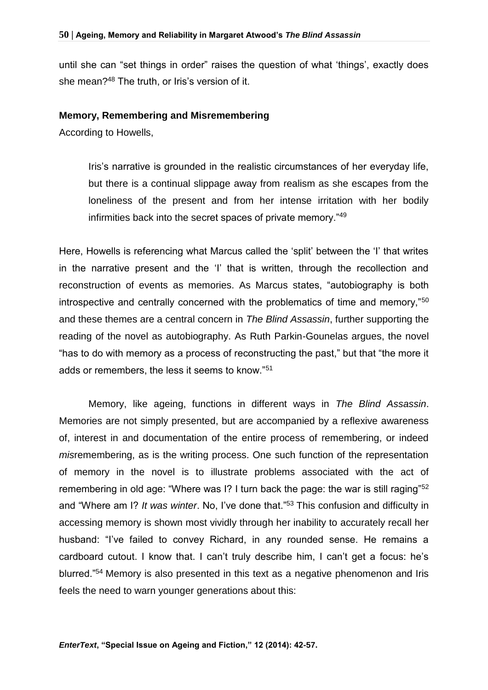until she can "set things in order" raises the question of what 'things', exactly does she mean?<sup>48</sup> The truth, or Iris's version of it.

#### **Memory, Remembering and Misremembering**

According to Howells,

Iris's narrative is grounded in the realistic circumstances of her everyday life, but there is a continual slippage away from realism as she escapes from the loneliness of the present and from her intense irritation with her bodily infirmities back into the secret spaces of private memory."<sup>49</sup>

Here, Howells is referencing what Marcus called the 'split' between the 'I' that writes in the narrative present and the 'I' that is written, through the recollection and reconstruction of events as memories. As Marcus states, "autobiography is both introspective and centrally concerned with the problematics of time and memory,"<sup>50</sup> and these themes are a central concern in *The Blind Assassin*, further supporting the reading of the novel as autobiography. As Ruth Parkin-Gounelas argues, the novel "has to do with memory as a process of reconstructing the past," but that "the more it adds or remembers, the less it seems to know."<sup>51</sup>

Memory, like ageing, functions in different ways in *The Blind Assassin*. Memories are not simply presented, but are accompanied by a reflexive awareness of, interest in and documentation of the entire process of remembering, or indeed *mis*remembering, as is the writing process. One such function of the representation of memory in the novel is to illustrate problems associated with the act of remembering in old age: "Where was I? I turn back the page: the war is still raging"<sup>52</sup> and "Where am I? *It was winter*. No, I've done that."<sup>53</sup> This confusion and difficulty in accessing memory is shown most vividly through her inability to accurately recall her husband: "I've failed to convey Richard, in any rounded sense. He remains a cardboard cutout. I know that. I can't truly describe him, I can't get a focus: he's blurred."<sup>54</sup> Memory is also presented in this text as a negative phenomenon and Iris feels the need to warn younger generations about this: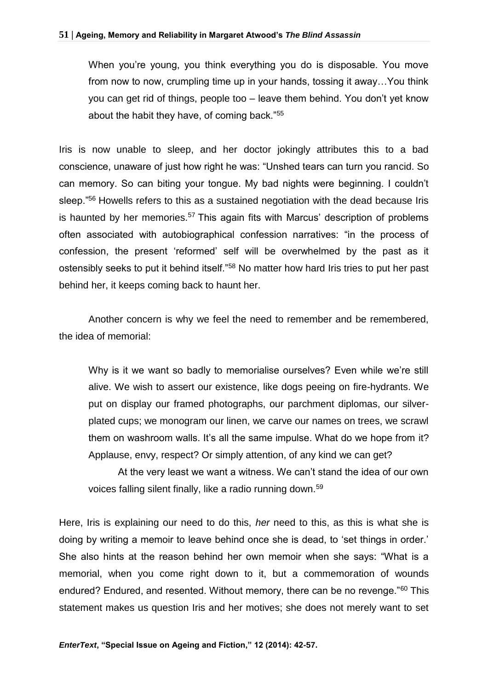When you're young, you think everything you do is disposable. You move from now to now, crumpling time up in your hands, tossing it away…You think you can get rid of things, people too – leave them behind. You don't yet know about the habit they have, of coming back."<sup>55</sup>

Iris is now unable to sleep, and her doctor jokingly attributes this to a bad conscience, unaware of just how right he was: "Unshed tears can turn you rancid. So can memory. So can biting your tongue. My bad nights were beginning. I couldn't sleep."<sup>56</sup> Howells refers to this as a sustained negotiation with the dead because Iris is haunted by her memories.<sup>57</sup> This again fits with Marcus' description of problems often associated with autobiographical confession narratives: "in the process of confession, the present 'reformed' self will be overwhelmed by the past as it ostensibly seeks to put it behind itself."<sup>58</sup> No matter how hard Iris tries to put her past behind her, it keeps coming back to haunt her.

Another concern is why we feel the need to remember and be remembered, the idea of memorial:

Why is it we want so badly to memorialise ourselves? Even while we're still alive. We wish to assert our existence, like dogs peeing on fire-hydrants. We put on display our framed photographs, our parchment diplomas, our silverplated cups; we monogram our linen, we carve our names on trees, we scrawl them on washroom walls. It's all the same impulse. What do we hope from it? Applause, envy, respect? Or simply attention, of any kind we can get?

At the very least we want a witness. We can't stand the idea of our own voices falling silent finally, like a radio running down.<sup>59</sup>

Here, Iris is explaining our need to do this, *her* need to this, as this is what she is doing by writing a memoir to leave behind once she is dead, to 'set things in order.' She also hints at the reason behind her own memoir when she says: "What is a memorial, when you come right down to it, but a commemoration of wounds endured? Endured, and resented. Without memory, there can be no revenge."<sup>60</sup> This statement makes us question Iris and her motives; she does not merely want to set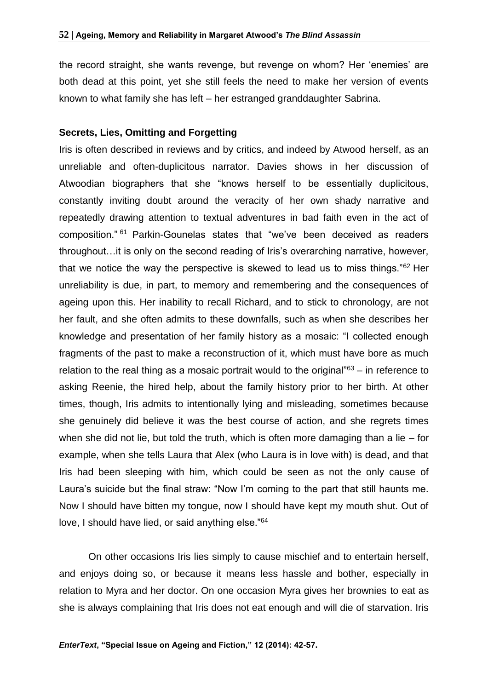the record straight, she wants revenge, but revenge on whom? Her 'enemies' are both dead at this point, yet she still feels the need to make her version of events known to what family she has left – her estranged granddaughter Sabrina.

#### **Secrets, Lies, Omitting and Forgetting**

Iris is often described in reviews and by critics, and indeed by Atwood herself, as an unreliable and often-duplicitous narrator. Davies shows in her discussion of Atwoodian biographers that she "knows herself to be essentially duplicitous, constantly inviting doubt around the veracity of her own shady narrative and repeatedly drawing attention to textual adventures in bad faith even in the act of composition." <sup>61</sup> Parkin-Gounelas states that "we've been deceived as readers throughout…it is only on the second reading of Iris's overarching narrative, however, that we notice the way the perspective is skewed to lead us to miss things."<sup>62</sup> Her unreliability is due, in part, to memory and remembering and the consequences of ageing upon this. Her inability to recall Richard, and to stick to chronology, are not her fault, and she often admits to these downfalls, such as when she describes her knowledge and presentation of her family history as a mosaic: "I collected enough fragments of the past to make a reconstruction of it, which must have bore as much relation to the real thing as a mosaic portrait would to the original" $63 - in$  reference to asking Reenie, the hired help, about the family history prior to her birth. At other times, though, Iris admits to intentionally lying and misleading, sometimes because she genuinely did believe it was the best course of action, and she regrets times when she did not lie, but told the truth, which is often more damaging than a lie  $-$  for example, when she tells Laura that Alex (who Laura is in love with) is dead, and that Iris had been sleeping with him, which could be seen as not the only cause of Laura's suicide but the final straw: "Now I'm coming to the part that still haunts me. Now I should have bitten my tongue, now I should have kept my mouth shut. Out of love, I should have lied, or said anything else."<sup>64</sup>

On other occasions Iris lies simply to cause mischief and to entertain herself, and enjoys doing so, or because it means less hassle and bother, especially in relation to Myra and her doctor. On one occasion Myra gives her brownies to eat as she is always complaining that Iris does not eat enough and will die of starvation. Iris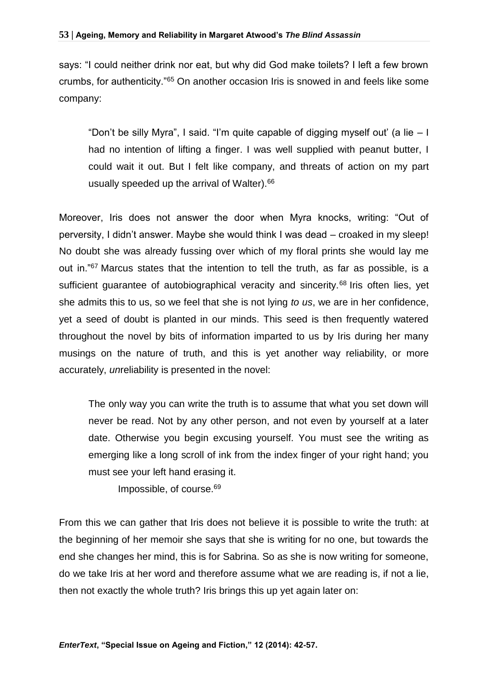says: "I could neither drink nor eat, but why did God make toilets? I left a few brown crumbs, for authenticity."<sup>65</sup> On another occasion Iris is snowed in and feels like some company:

"Don't be silly Myra", I said. "I'm quite capable of digging myself out' (a lie  $-1$ ) had no intention of lifting a finger. I was well supplied with peanut butter, I could wait it out. But I felt like company, and threats of action on my part usually speeded up the arrival of Walter).<sup>66</sup>

Moreover, Iris does not answer the door when Myra knocks, writing: "Out of perversity, I didn't answer. Maybe she would think I was dead – croaked in my sleep! No doubt she was already fussing over which of my floral prints she would lay me out in."<sup>67</sup> Marcus states that the intention to tell the truth, as far as possible, is a sufficient guarantee of autobiographical veracity and sincerity.<sup>68</sup> Iris often lies, yet she admits this to us, so we feel that she is not lying *to us*, we are in her confidence, yet a seed of doubt is planted in our minds. This seed is then frequently watered throughout the novel by bits of information imparted to us by Iris during her many musings on the nature of truth, and this is yet another way reliability, or more accurately, *un*reliability is presented in the novel:

The only way you can write the truth is to assume that what you set down will never be read. Not by any other person, and not even by yourself at a later date. Otherwise you begin excusing yourself. You must see the writing as emerging like a long scroll of ink from the index finger of your right hand; you must see your left hand erasing it.

Impossible, of course.<sup>69</sup>

From this we can gather that Iris does not believe it is possible to write the truth: at the beginning of her memoir she says that she is writing for no one, but towards the end she changes her mind, this is for Sabrina. So as she is now writing for someone, do we take Iris at her word and therefore assume what we are reading is, if not a lie, then not exactly the whole truth? Iris brings this up yet again later on: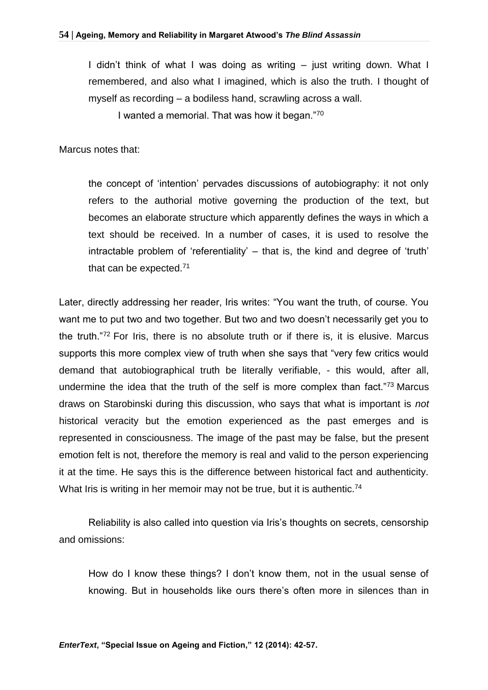I didn't think of what I was doing as writing – just writing down. What I remembered, and also what I imagined, which is also the truth. I thought of myself as recording – a bodiless hand, scrawling across a wall.

I wanted a memorial. That was how it began."<sup>70</sup>

Marcus notes that:

the concept of 'intention' pervades discussions of autobiography: it not only refers to the authorial motive governing the production of the text, but becomes an elaborate structure which apparently defines the ways in which a text should be received. In a number of cases, it is used to resolve the intractable problem of 'referentiality' – that is, the kind and degree of 'truth' that can be expected.<sup>71</sup>

Later, directly addressing her reader, Iris writes: "You want the truth, of course. You want me to put two and two together. But two and two doesn't necessarily get you to the truth."<sup>72</sup> For Iris, there is no absolute truth or if there is, it is elusive. Marcus supports this more complex view of truth when she says that "very few critics would demand that autobiographical truth be literally verifiable, - this would, after all, undermine the idea that the truth of the self is more complex than fact."<sup>73</sup> Marcus draws on Starobinski during this discussion, who says that what is important is *not* historical veracity but the emotion experienced as the past emerges and is represented in consciousness. The image of the past may be false, but the present emotion felt is not, therefore the memory is real and valid to the person experiencing it at the time. He says this is the difference between historical fact and authenticity. What Iris is writing in her memoir may not be true, but it is authentic.<sup>74</sup>

Reliability is also called into question via Iris's thoughts on secrets, censorship and omissions:

How do I know these things? I don't know them, not in the usual sense of knowing. But in households like ours there's often more in silences than in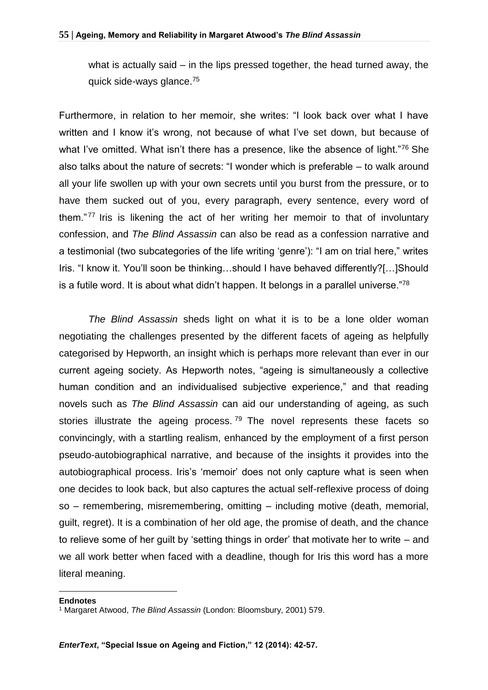what is actually said – in the lips pressed together, the head turned away, the quick side-ways glance.<sup>75</sup>

Furthermore, in relation to her memoir, she writes: "I look back over what I have written and I know it's wrong, not because of what I've set down, but because of what I've omitted. What isn't there has a presence, like the absence of light."<sup>76</sup> She also talks about the nature of secrets: "I wonder which is preferable – to walk around all your life swollen up with your own secrets until you burst from the pressure, or to have them sucked out of you, every paragraph, every sentence, every word of them." <sup>77</sup> Iris is likening the act of her writing her memoir to that of involuntary confession, and *The Blind Assassin* can also be read as a confession narrative and a testimonial (two subcategories of the life writing 'genre'): "I am on trial here," writes Iris. "I know it. You'll soon be thinking…should I have behaved differently?[…]Should is a futile word. It is about what didn't happen. It belongs in a parallel universe."<sup>78</sup>

*The Blind Assassin* sheds light on what it is to be a lone older woman negotiating the challenges presented by the different facets of ageing as helpfully categorised by Hepworth, an insight which is perhaps more relevant than ever in our current ageing society. As Hepworth notes, "ageing is simultaneously a collective human condition and an individualised subjective experience," and that reading novels such as *The Blind Assassin* can aid our understanding of ageing, as such stories illustrate the ageing process.  $79$  The novel represents these facets so convincingly, with a startling realism, enhanced by the employment of a first person pseudo-autobiographical narrative, and because of the insights it provides into the autobiographical process. Iris's 'memoir' does not only capture what is seen when one decides to look back, but also captures the actual self-reflexive process of doing so – remembering, misremembering, omitting – including motive (death, memorial, guilt, regret). It is a combination of her old age, the promise of death, and the chance to relieve some of her guilt by 'setting things in order' that motivate her to write – and we all work better when faced with a deadline, though for Iris this word has a more literal meaning.

#### **Endnotes**

<u>.</u>

<sup>1</sup> Margaret Atwood, *The Blind Assassin* (London: Bloomsbury, 2001) 579.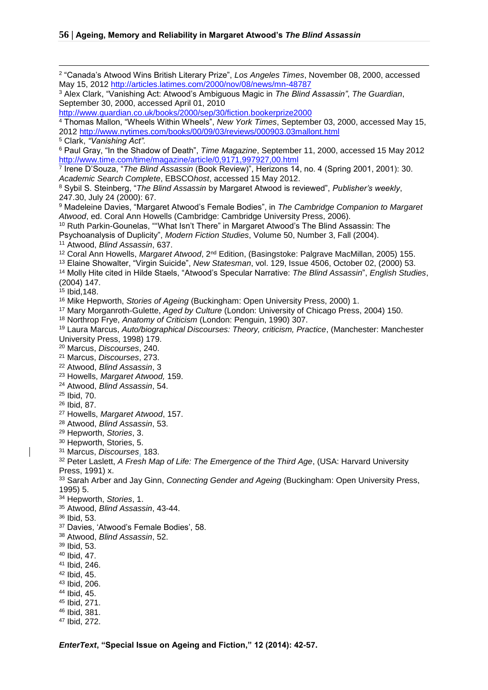<u>.</u>

 "Canada's Atwood Wins British Literary Prize", *Los Angeles Times*, November 08, 2000, accessed May 15, 2012<http://articles.latimes.com/2000/nov/08/news/mn-48787> Alex Clark, "Vanishing Act: Atwood's Ambiguous Magic in *The Blind Assassin"*, *The Guardian*, September 30, 2000, accessed April 01, 2010 <http://www.guardian.co.uk/books/2000/sep/30/fiction.bookerprize2000> Thomas Mallon, "Wheels Within Wheels", *New York Times*, September 03, 2000, accessed May 15, <http://www.nytimes.com/books/00/09/03/reviews/000903.03mallont.html> Clark, *"Vanishing Act".* Paul Gray, "In the Shadow of Death", *Time Magazine*, September 11, 2000, accessed 15 May 2012 <http://www.time.com/time/magazine/article/0,9171,997927,00.html> Irene D'Souza, "*The Blind Assassin* (Book Review)", Herizons 14, no. 4 (Spring 2001, 2001): 30. *Academic Search Complete*, EBSCO*host*, accessed 15 May 2012. Sybil S. Steinberg, "*The Blind Assassin* by Margaret Atwood is reviewed", *Publisher's weekly*, 247.30, July 24 (2000): 67. Madeleine Davies, "Margaret Atwood's Female Bodies", in *The Cambridge Companion to Margaret Atwood*, ed. Coral Ann Howells (Cambridge: Cambridge University Press, 2006). Ruth Parkin-Gounelas, ""What Isn't There" in Margaret Atwood's The Blind Assassin: The Psychoanalysis of Duplicity", *Modern Fiction Studies*, Volume 50, Number 3, Fall (2004). Atwood, *Blind Assassin*, 637. <sup>12</sup> Coral Ann Howells, Margaret Atwood, 2<sup>nd</sup> Edition, (Basingstoke: Palgrave MacMillan, 2005) 155. Elaine Showalter, "Virgin Suicide", *New Statesman*, vol. 129, Issue 4506, October 02, (2000) 53. Molly Hite cited in Hilde Staels, "Atwood's Specular Narrative: *The Blind Assassin*", *English Studies*, (2004) 147. Ibid,148. Mike Hepworth, *Stories of Ageing* (Buckingham: Open University Press, 2000) 1. Mary Morganroth-Gulette, *Aged by Culture* (London: University of Chicago Press, 2004) 150. Northrop Frye, *Anatomy of Criticism* (London: Penguin, 1990) 307. Laura Marcus, *Auto/biographical Discourses: Theory, criticism, Practice*, (Manchester: Manchester University Press, 1998) 179. Marcus, *Discourses*, 240. Marcus, *Discourses*, 273. Atwood, *Blind Assassin*, 3 Howells, *Margaret Atwood,* 159. Atwood, *Blind Assassin*, 54. Ibid, 70. Ibid, 87. Howells, *Margaret Atwood*, 157. Atwood, *Blind Assassin*, 53. Hepworth, *Stories*, 3. Hepworth, Stories, 5. Marcus, *Discourses*, 183. Peter Laslett, *A Fresh Map of Life: The Emergence of the Third Age*, (USA: Harvard University Press, 1991) x. Sarah Arber and Jay Ginn, *Connecting Gender and Ageing* (Buckingham: Open University Press, 1995) 5. Hepworth, *Stories*, 1. Atwood, *Blind Assassin*, 43-44. Ibid, 53. Davies, 'Atwood's Female Bodies', 58. Atwood, *Blind Assassin*, 52. Ibid, 53. Ibid, 47. Ibid, 246. Ibid, 45. Ibid, 206. Ibid, 45. Ibid, 271. Ibid, 381. Ibid, 272.

*EnterText***, "Special Issue on Ageing and Fiction," 12 (2014): 42-57.**